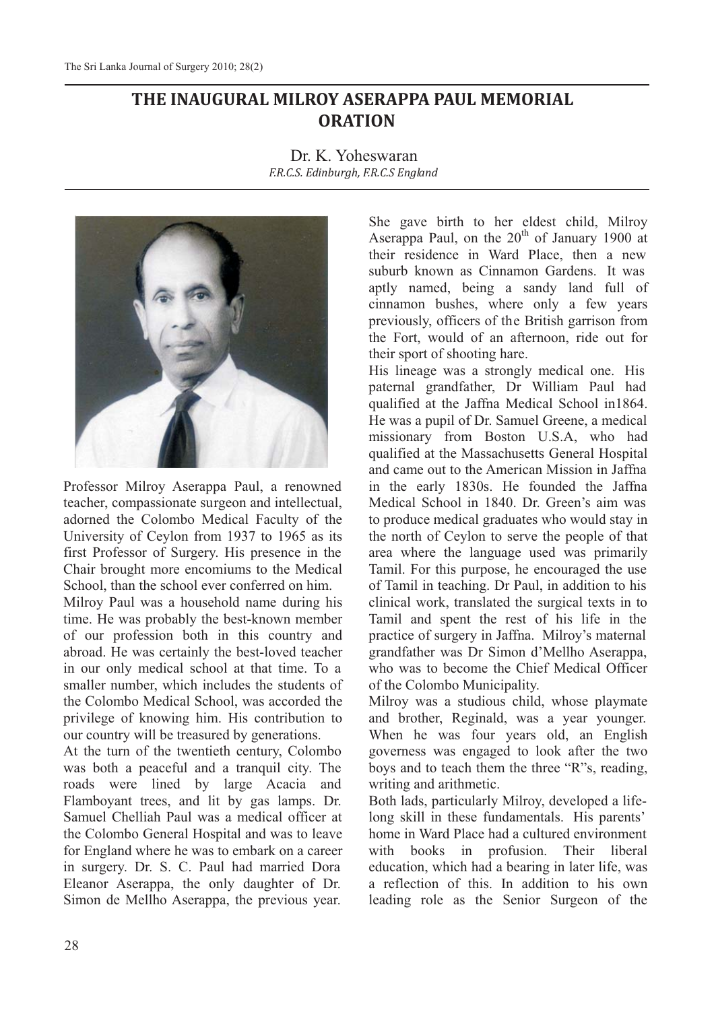## **THE INAUGURAL MILROY ASERAPPA PAUL MEMORIAL ORATION**

Dr. K. Yoheswaran *F.R.C.S. Edinburgh, F.R.C.S England*



Professor Milroy Aserappa Paul, a renowned teacher, compassionate surgeon and intellectual, adorned the Colombo Medical Faculty of the University of Ceylon from 1937 to 1965 as its first Professor of Surgery. His presence in the Chair brought more encomiums to the Medical School, than the school ever conferred on him.

Milroy Paul was a household name during his time. He was probably the best-known member of our profession both in this country and abroad. He was certainly the best-loved teacher in our only medical school at that time. To a smaller number, which includes the students of the Colombo Medical School, was accorded the privilege of knowing him. His contribution to our country will be treasured by generations.

At the turn of the twentieth century, Colombo was both a peaceful and a tranquil city. The roads were lined by large Acacia and Flamboyant trees, and lit by gas lamps. Dr. Samuel Chelliah Paul was a medical officer at the Colombo General Hospital and was to leave for England where he was to embark on a career in surgery. Dr. S. C. Paul had married Dora Eleanor Aserappa, the only daughter of Dr. Simon de Mellho Aserappa, the previous year.

She gave birth to her eldest child, Milroy Aserappa Paul, on the  $20<sup>th</sup>$  of January 1900 at their residence in Ward Place, then a new suburb known as Cinnamon Gardens. It was aptly named, being a sandy land full of cinnamon bushes, where only a few years previously, officers of the British garrison from the Fort, would of an afternoon, ride out for their sport of shooting hare.

His lineage was a strongly medical one. His paternal grandfather, Dr William Paul had qualified at the Jaffna Medical School in1864. He was a pupil of Dr. Samuel Greene, a medical missionary from Boston U.S.A, who had qualified at the Massachusetts General Hospital and came out to the American Mission in Jaffna in the early 1830s. He founded the Jaffna Medical School in 1840. Dr. Green's aim was to produce medical graduates who would stay in the north of Ceylon to serve the people of that area where the language used was primarily Tamil. For this purpose, he encouraged the use of Tamil in teaching. Dr Paul, in addition to his clinical work, translated the surgical texts in to Tamil and spent the rest of his life in the practice of surgery in Jaffna. Milroy's maternal grandfather was Dr Simon d'Mellho Aserappa, who was to become the Chief Medical Officer of the Colombo Municipality.

Milroy was a studious child, whose playmate and brother, Reginald, was a year younger. When he was four years old, an English governess was engaged to look after the two boys and to teach them the three "R"s, reading, writing and arithmetic.

Both lads, particularly Milroy, developed a lifelong skill in these fundamentals. His parents' home in Ward Place had a cultured environment with books in profusion. Their liberal education, which had a bearing in later life, was a reflection of this. In addition to his own leading role as the Senior Surgeon of the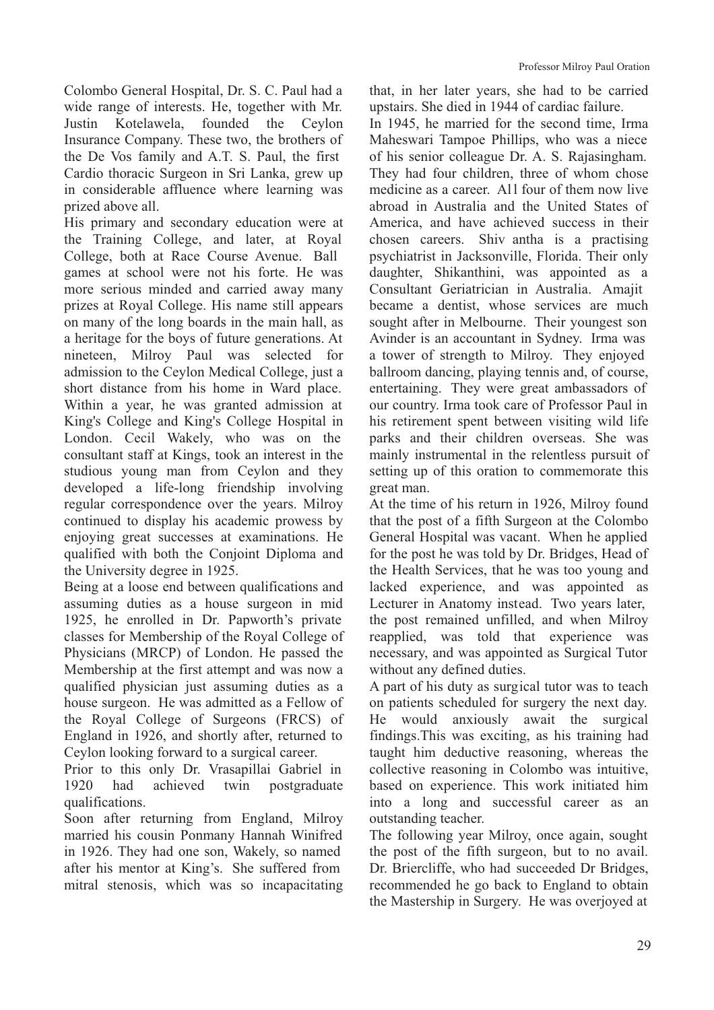Colombo General Hospital, Dr. S. C. Paul had a wide range of interests. He, together with Mr. Justin Kotelawela, founded the Ceylon Insurance Company. These two, the brothers of the De Vos family and A.T. S. Paul, the first Cardio thoracic Surgeon in Sri Lanka, grew up in considerable affluence where learning was prized above all.

His primary and secondary education were at the Training College, and later, at Royal College, both at Race Course Avenue. Ball games at school were not his forte. He was more serious minded and carried away many prizes at Royal College. His name still appears on many of the long boards in the main hall, as a heritage for the boys of future generations. At nineteen, Milroy Paul was selected for admission to the Ceylon Medical College, just a short distance from his home in Ward place. Within a year, he was granted admission at King's College and King's College Hospital in London. Cecil Wakely, who was on the consultant staff at Kings, took an interest in the studious young man from Ceylon and they developed a life-long friendship involving regular correspondence over the years. Milroy continued to display his academic prowess by enjoying great successes at examinations. He qualified with both the Conjoint Diploma and the University degree in 1925.

Being at a loose end between qualifications and assuming duties as a house surgeon in mid 1925, he enrolled in Dr. Papworth's private classes for Membership of the Royal College of Physicians (MRCP) of London. He passed the Membership at the first attempt and was now a qualified physician just assuming duties as a house surgeon. He was admitted as a Fellow of the Royal College of Surgeons (FRCS) of England in 1926, and shortly after, returned to Ceylon looking forward to a surgical career.

Prior to this only Dr. Vrasapillai Gabriel in 1920 had achieved twin postgraduate qualifications.

Soon after returning from England, Milroy married his cousin Ponmany Hannah Winifred in 1926. They had one son, Wakely, so named after his mentor at King's. She suffered from mitral stenosis, which was so incapacitating

that, in her later years, she had to be carried upstairs. She died in 1944 of cardiac failure.

In 1945, he married for the second time, Irma Maheswari Tampoe Phillips, who was a niece of his senior colleague Dr. A. S. Rajasingham. They had four children, three of whom chose medicine as a career. All four of them now live abroad in Australia and the United States of America, and have achieved success in their chosen careers. Shiv antha is a practising psychiatrist in Jacksonville, Florida. Their only daughter, Shikanthini, was appointed as a Consultant Geriatrician in Australia. Amajit became a dentist, whose services are much sought after in Melbourne. Their youngest son Avinder is an accountant in Sydney. Irma was a tower of strength to Milroy. They enjoyed ballroom dancing, playing tennis and, of course, entertaining. They were great ambassadors of our country. Irma took care of Professor Paul in his retirement spent between visiting wild life parks and their children overseas. She was mainly instrumental in the relentless pursuit of setting up of this oration to commemorate this great man.

At the time of his return in 1926, Milroy found that the post of a fifth Surgeon at the Colombo General Hospital was vacant. When he applied for the post he was told by Dr. Bridges, Head of the Health Services, that he was too young and lacked experience, and was appointed as Lecturer in Anatomy instead. Two years later, the post remained unfilled, and when Milroy reapplied, was told that experience was necessary, and was appointed as Surgical Tutor without any defined duties.

A part of his duty as surgical tutor was to teach on patients scheduled for surgery the next day. He would anxiously await the surgical findings.This was exciting, as his training had taught him deductive reasoning, whereas the collective reasoning in Colombo was intuitive, based on experience. This work initiated him into a long and successful career as an outstanding teacher.

The following year Milroy, once again, sought the post of the fifth surgeon, but to no avail. Dr. Briercliffe, who had succeeded Dr Bridges, recommended he go back to England to obtain the Mastership in Surgery. He was overjoyed at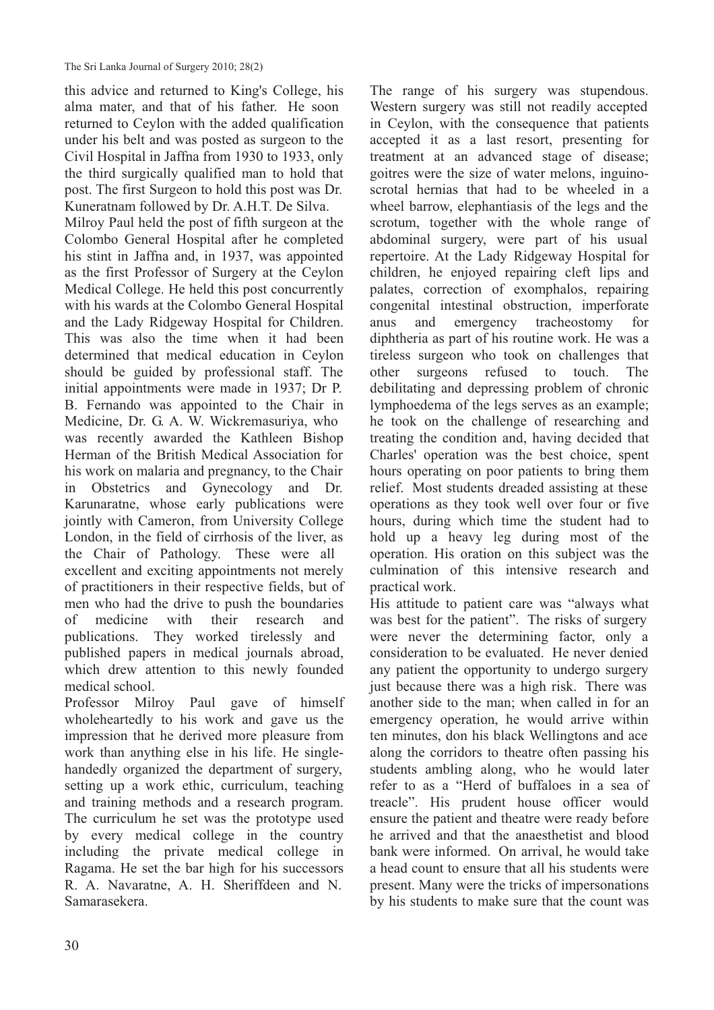this advice and returned to King's College, his alma mater, and that of his father. He soon returned to Ceylon with the added qualification under his belt and was posted as surgeon to the Civil Hospital in Jaffna from 1930 to 1933, only the third surgically qualified man to hold that post. The first Surgeon to hold this post was Dr. Kuneratnam followed by Dr. A.H.T. De Silva. Milroy Paul held the post of fifth surgeon at the Colombo General Hospital after he completed his stint in Jaffna and, in 1937, was appointed as the first Professor of Surgery at the Ceylon Medical College. He held this post concurrently with his wards at the Colombo General Hospital and the Lady Ridgeway Hospital for Children. This was also the time when it had been determined that medical education in Ceylon should be guided by professional staff. The initial appointments were made in 1937; Dr P. B. Fernando was appointed to the Chair in Medicine, Dr. G. A. W. Wickremasuriya, who was recently awarded the Kathleen Bishop Herman of the British Medical Association for his work on malaria and pregnancy, to the Chair in Obstetrics and Gynecology and Dr. Karunaratne, whose early publications were jointly with Cameron, from University College London, in the field of cirrhosis of the liver, as the Chair of Pathology. These were all excellent and exciting appointments not merely of practitioners in their respective fields, but of men who had the drive to push the boundaries

of medicine with their research and publications. They worked tirelessly and published papers in medical journals abroad, which drew attention to this newly founded medical school.

Professor Milroy Paul gave of himself wholeheartedly to his work and gave us the impression that he derived more pleasure from work than anything else in his life. He singlehandedly organized the department of surgery, setting up a work ethic, curriculum, teaching and training methods and a research program. The curriculum he set was the prototype used by every medical college in the country including the private medical college in Ragama. He set the bar high for his successors R. A. Navaratne, A. H. Sheriffdeen and N. Samarasekera.

The range of his surgery was stupendous. Western surgery was still not readily accepted in Ceylon, with the consequence that patients accepted it as a last resort, presenting for treatment at an advanced stage of disease; goitres were the size of water melons, inguinoscrotal hernias that had to be wheeled in a wheel barrow, elephantiasis of the legs and the scrotum, together with the whole range of abdominal surgery, were part of his usual repertoire. At the Lady Ridgeway Hospital for children, he enjoyed repairing cleft lips and palates, correction of exomphalos, repairing congenital intestinal obstruction, imperforate anus and emergency tracheostomy for diphtheria as part of his routine work. He was a tireless surgeon who took on challenges that other surgeons refused to touch. The debilitating and depressing problem of chronic lymphoedema of the legs serves as an example; he took on the challenge of researching and treating the condition and, having decided that Charles' operation was the best choice, spent hours operating on poor patients to bring them relief. Most students dreaded assisting at these operations as they took well over four or five hours, during which time the student had to hold up a heavy leg during most of the operation. His oration on this subject was the culmination of this intensive research and practical work.

His attitude to patient care was "always what was best for the patient". The risks of surgery were never the determining factor, only a consideration to be evaluated. He never denied any patient the opportunity to undergo surgery just because there was a high risk. There was another side to the man; when called in for an emergency operation, he would arrive within ten minutes, don his black Wellingtons and ace along the corridors to theatre often passing his students ambling along, who he would later refer to as a "Herd of buffaloes in a sea of treacle". His prudent house officer would ensure the patient and theatre were ready before he arrived and that the anaesthetist and blood bank were informed. On arrival, he would take a head count to ensure that all his students were present. Many were the tricks of impersonations by his students to make sure that the count was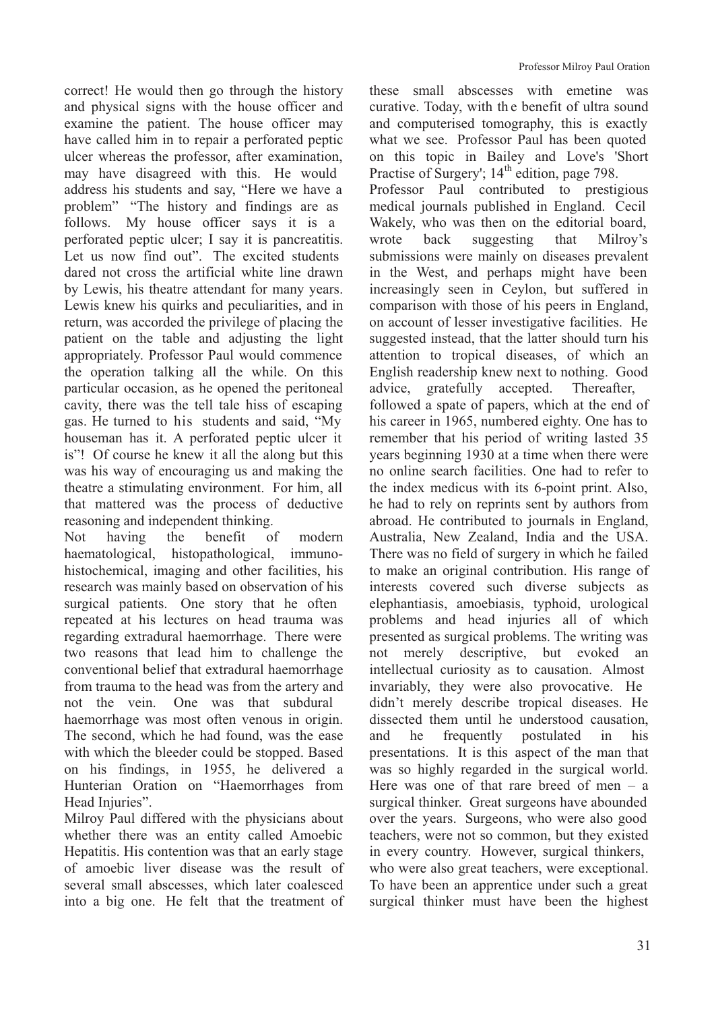correct! He would then go through the history and physical signs with the house officer and examine the patient. The house officer may have called him in to repair a perforated peptic ulcer whereas the professor, after examination, may have disagreed with this. He would address his students and say, "Here we have a problem" "The history and findings are as follows. My house officer says it is a perforated peptic ulcer; I say it is pancreatitis. Let us now find out". The excited students dared not cross the artificial white line drawn by Lewis, his theatre attendant for many years. Lewis knew his quirks and peculiarities, and in return, was accorded the privilege of placing the patient on the table and adjusting the light appropriately. Professor Paul would commence the operation talking all the while. On this particular occasion, as he opened the peritoneal cavity, there was the tell tale hiss of escaping gas. He turned to his students and said, "My houseman has it. A perforated peptic ulcer it is"! Of course he knew it all the along but this was his way of encouraging us and making the theatre a stimulating environment. For him, all that mattered was the process of deductive reasoning and independent thinking.

Not having the benefit of modern haematological, histopathological, immunohistochemical, imaging and other facilities, his research was mainly based on observation of his surgical patients. One story that he often repeated at his lectures on head trauma was regarding extradural haemorrhage. There were two reasons that lead him to challenge the conventional belief that extradural haemorrhage from trauma to the head was from the artery and not the vein. One was that subdural haemorrhage was most often venous in origin. The second, which he had found, was the ease with which the bleeder could be stopped. Based on his findings, in 1955, he delivered a Hunterian Oration on "Haemorrhages from Head Injuries".

Milroy Paul differed with the physicians about whether there was an entity called Amoebic Hepatitis. His contention was that an early stage of amoebic liver disease was the result of several small abscesses, which later coalesced into a big one. He felt that the treatment of

these small abscesses with emetine was curative. Today, with th e benefit of ultra sound and computerised tomography, this is exactly what we see. Professor Paul has been quoted on this topic in Bailey and Love's 'Short Practise of Surgery'; 14<sup>th</sup> edition, page 798. Professor Paul contributed to prestigious medical journals published in England. Cecil Wakely, who was then on the editorial board, wrote back suggesting that Milroy's submissions were mainly on diseases prevalent in the West, and perhaps might have been increasingly seen in Ceylon, but suffered in comparison with those of his peers in England, on account of lesser investigative facilities. He suggested instead, that the latter should turn his attention to tropical diseases, of which an English readership knew next to nothing. Good advice, gratefully accepted. Thereafter, followed a spate of papers, which at the end of his career in 1965, numbered eighty. One has to remember that his period of writing lasted 35 years beginning 1930 at a time when there were no online search facilities. One had to refer to the index medicus with its 6-point print. Also, he had to rely on reprints sent by authors from abroad. He contributed to journals in England, Australia, New Zealand, India and the USA. There was no field of surgery in which he failed to make an original contribution. His range of interests covered such diverse subjects as elephantiasis, amoebiasis, typhoid, urological problems and head injuries all of which presented as surgical problems. The writing was not merely descriptive, but evoked an intellectual curiosity as to causation. Almost invariably, they were also provocative. He didn't merely describe tropical diseases. He dissected them until he understood causation, and he frequently postulated in his presentations. It is this aspect of the man that was so highly regarded in the surgical world. Here was one of that rare breed of men – a surgical thinker. Great surgeons have abounded over the years. Surgeons, who were also good teachers, were not so common, but they existed in every country. However, surgical thinkers, who were also great teachers, were exceptional. To have been an apprentice under such a great surgical thinker must have been the highest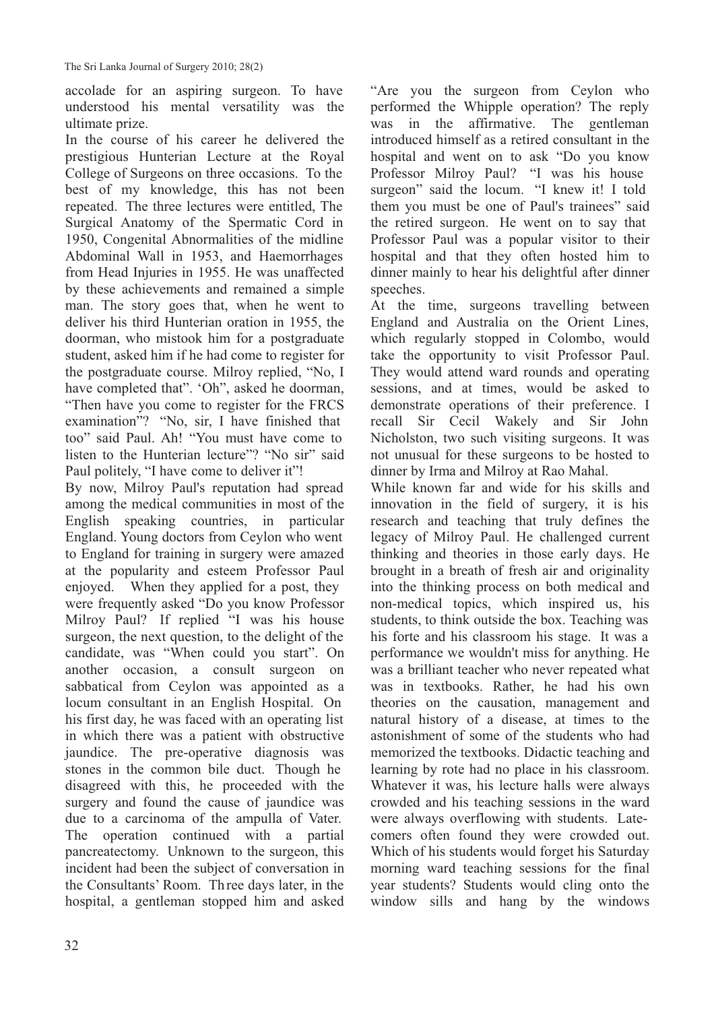accolade for an aspiring surgeon. To have understood his mental versatility was the ultimate prize.

In the course of his career he delivered the prestigious Hunterian Lecture at the Royal College of Surgeons on three occasions. To the best of my knowledge, this has not been repeated. The three lectures were entitled, The Surgical Anatomy of the Spermatic Cord in 1950, Congenital Abnormalities of the midline Abdominal Wall in 1953, and Haemorrhages from Head Injuries in 1955. He was unaffected by these achievements and remained a simple man. The story goes that, when he went to deliver his third Hunterian oration in 1955, the doorman, who mistook him for a postgraduate student, asked him if he had come to register for the postgraduate course. Milroy replied, "No, I have completed that". 'Oh", asked he doorman, "Then have you come to register for the FRCS examination"? "No, sir, I have finished that too" said Paul. Ah! "You must have come to listen to the Hunterian lecture"? "No sir" said Paul politely, "I have come to deliver it"!

By now, Milroy Paul's reputation had spread among the medical communities in most of the English speaking countries, in particular England. Young doctors from Ceylon who went to England for training in surgery were amazed at the popularity and esteem Professor Paul enjoyed. When they applied for a post, they were frequently asked "Do you know Professor Milroy Paul? If replied "I was his house surgeon, the next question, to the delight of the candidate, was "When could you start". On another occasion, a consult surgeon on sabbatical from Ceylon was appointed as a locum consultant in an English Hospital. On his first day, he was faced with an operating list in which there was a patient with obstructive jaundice. The pre-operative diagnosis was stones in the common bile duct. Though he disagreed with this, he proceeded with the surgery and found the cause of jaundice was due to a carcinoma of the ampulla of Vater. The operation continued with a partial pancreatectomy. Unknown to the surgeon, this incident had been the subject of conversation in the Consultants' Room. Three days later, in the hospital, a gentleman stopped him and asked "Are you the surgeon from Ceylon who performed the Whipple operation? The reply was in the affirmative. The gentleman introduced himself as a retired consultant in the hospital and went on to ask "Do you know Professor Milroy Paul? "I was his house surgeon" said the locum. "I knew it! I told them you must be one of Paul's trainees" said the retired surgeon. He went on to say that Professor Paul was a popular visitor to their hospital and that they often hosted him to dinner mainly to hear his delightful after dinner speeches.

At the time, surgeons travelling between England and Australia on the Orient Lines, which regularly stopped in Colombo, would take the opportunity to visit Professor Paul. They would attend ward rounds and operating sessions, and at times, would be asked to demonstrate operations of their preference. I recall Sir Cecil Wakely and Sir John Nicholston, two such visiting surgeons. It was not unusual for these surgeons to be hosted to dinner by Irma and Milroy at Rao Mahal.

While known far and wide for his skills and innovation in the field of surgery, it is his research and teaching that truly defines the legacy of Milroy Paul. He challenged current thinking and theories in those early days. He brought in a breath of fresh air and originality into the thinking process on both medical and non-medical topics, which inspired us, his students, to think outside the box. Teaching was his forte and his classroom his stage. It was a performance we wouldn't miss for anything. He was a brilliant teacher who never repeated what was in textbooks. Rather, he had his own theories on the causation, management and natural history of a disease, at times to the astonishment of some of the students who had memorized the textbooks. Didactic teaching and learning by rote had no place in his classroom. Whatever it was, his lecture halls were always crowded and his teaching sessions in the ward were always overflowing with students. Latecomers often found they were crowded out. Which of his students would forget his Saturday morning ward teaching sessions for the final year students? Students would cling onto the window sills and hang by the windows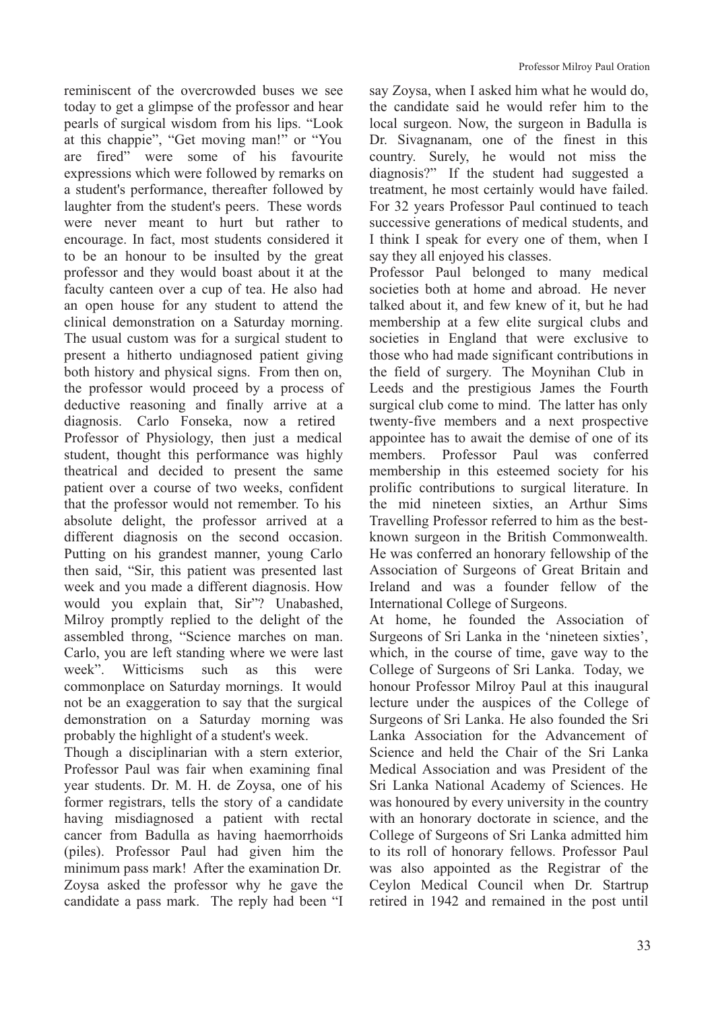reminiscent of the overcrowded buses we see today to get a glimpse of the professor and hear pearls of surgical wisdom from his lips. "Look at this chappie", "Get moving man!" or "You are fired" were some of his favourite expressions which were followed by remarks on a student's performance, thereafter followed by laughter from the student's peers. These words were never meant to hurt but rather to encourage. In fact, most students considered it to be an honour to be insulted by the great professor and they would boast about it at the faculty canteen over a cup of tea. He also had an open house for any student to attend the clinical demonstration on a Saturday morning. The usual custom was for a surgical student to present a hitherto undiagnosed patient giving both history and physical signs. From then on, the professor would proceed by a process of deductive reasoning and finally arrive at a diagnosis. Carlo Fonseka, now a retired Professor of Physiology, then just a medical student, thought this performance was highly theatrical and decided to present the same patient over a course of two weeks, confident that the professor would not remember. To his absolute delight, the professor arrived at a different diagnosis on the second occasion. Putting on his grandest manner, young Carlo then said, "Sir, this patient was presented last week and you made a different diagnosis. How would you explain that, Sir"? Unabashed, Milroy promptly replied to the delight of the assembled throng, "Science marches on man. Carlo, you are left standing where we were last week". Witticisms such as this were commonplace on Saturday mornings. It would not be an exaggeration to say that the surgical demonstration on a Saturday morning was probably the highlight of a student's week.

Though a disciplinarian with a stern exterior, Professor Paul was fair when examining final year students. Dr. M. H. de Zoysa, one of his former registrars, tells the story of a candidate having misdiagnosed a patient with rectal cancer from Badulla as having haemorrhoids (piles). Professor Paul had given him the minimum pass mark! After the examination Dr. Zoysa asked the professor why he gave the candidate a pass mark. The reply had been "I say Zoysa, when I asked him what he would do, the candidate said he would refer him to the local surgeon. Now, the surgeon in Badulla is Dr. Sivagnanam, one of the finest in this country. Surely, he would not miss the diagnosis?" If the student had suggested a treatment, he most certainly would have failed. For 32 years Professor Paul continued to teach successive generations of medical students, and I think I speak for every one of them, when I say they all enjoyed his classes.

Professor Paul belonged to many medical societies both at home and abroad. He never talked about it, and few knew of it, but he had membership at a few elite surgical clubs and societies in England that were exclusive to those who had made significant contributions in the field of surgery. The Moynihan Club in Leeds and the prestigious James the Fourth surgical club come to mind. The latter has only twenty-five members and a next prospective appointee has to await the demise of one of its members. Professor Paul was conferred membership in this esteemed society for his prolific contributions to surgical literature. In the mid nineteen sixties, an Arthur Sims Travelling Professor referred to him as the bestknown surgeon in the British Commonwealth. He was conferred an honorary fellowship of the Association of Surgeons of Great Britain and Ireland and was a founder fellow of the International College of Surgeons.

At home, he founded the Association of Surgeons of Sri Lanka in the 'nineteen sixties', which, in the course of time, gave way to the College of Surgeons of Sri Lanka. Today, we honour Professor Milroy Paul at this inaugural lecture under the auspices of the College of Surgeons of Sri Lanka. He also founded the Sri Lanka Association for the Advancement of Science and held the Chair of the Sri Lanka Medical Association and was President of the Sri Lanka National Academy of Sciences. He was honoured by every university in the country with an honorary doctorate in science, and the College of Surgeons of Sri Lanka admitted him to its roll of honorary fellows. Professor Paul was also appointed as the Registrar of the Ceylon Medical Council when Dr. Startrup retired in 1942 and remained in the post until